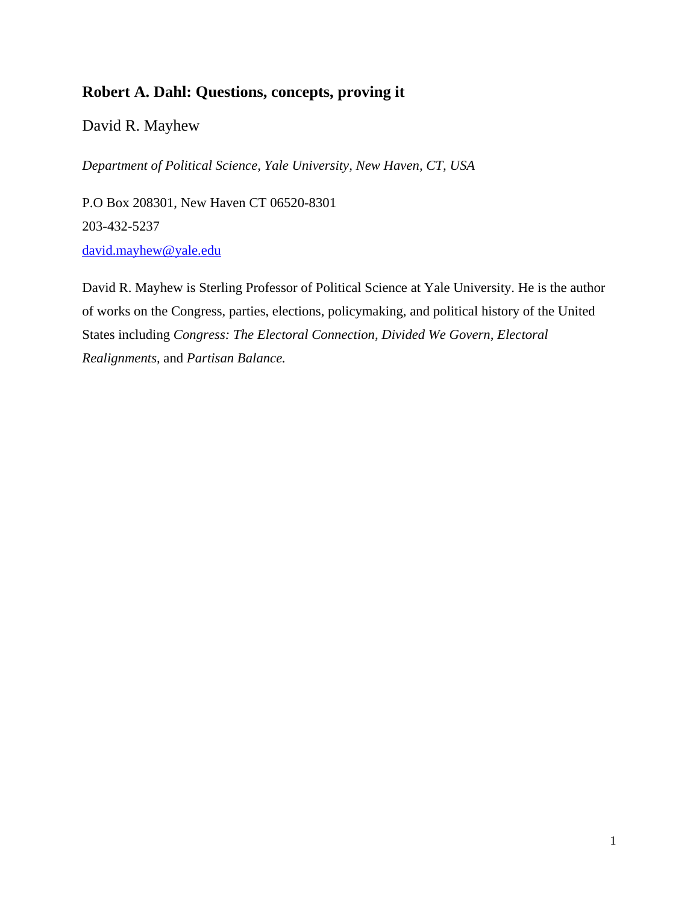# **Robert A. Dahl: Questions, concepts, proving it**

David R. Mayhew

*Department of Political Science, Yale University, New Haven, CT, USA* 

P.O Box 208301, New Haven CT 06520-8301 203-432-5237 david.mayhew@yale.edu

David R. Mayhew is Sterling Professor of Political Science at Yale University. He is the author of works on the Congress, parties, elections, policymaking, and political history of the United States including *Congress: The Electoral Connection, Divided We Govern, Electoral Realignments,* and *Partisan Balance.*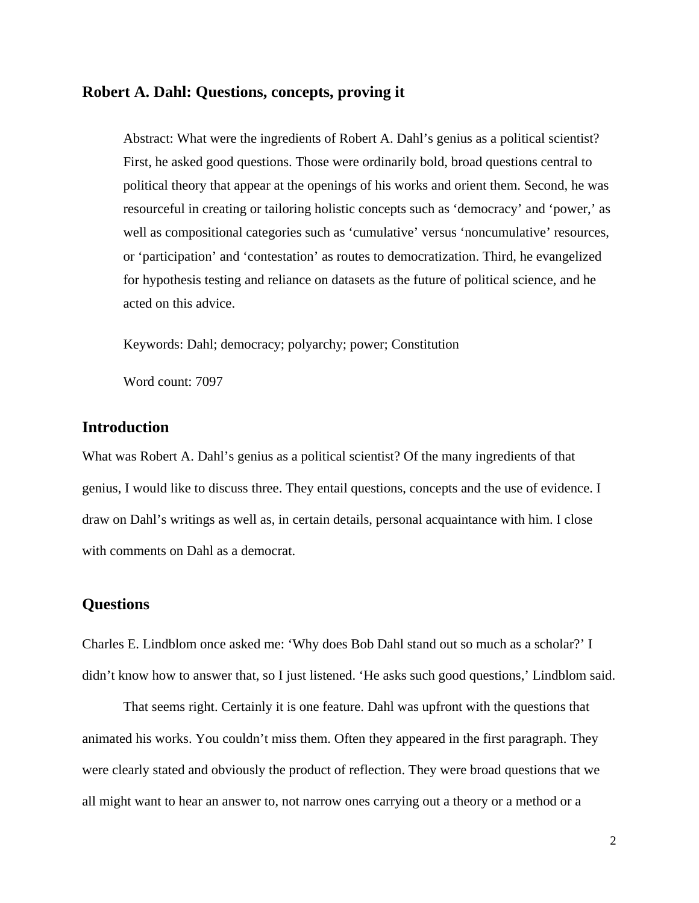### **Robert A. Dahl: Questions, concepts, proving it**

Abstract: What were the ingredients of Robert A. Dahl's genius as a political scientist? First, he asked good questions. Those were ordinarily bold, broad questions central to political theory that appear at the openings of his works and orient them. Second, he was resourceful in creating or tailoring holistic concepts such as 'democracy' and 'power,' as well as compositional categories such as 'cumulative' versus 'noncumulative' resources, or 'participation' and 'contestation' as routes to democratization. Third, he evangelized for hypothesis testing and reliance on datasets as the future of political science, and he acted on this advice.

Keywords: Dahl; democracy; polyarchy; power; Constitution

Word count: 7097

## **Introduction**

What was Robert A. Dahl's genius as a political scientist? Of the many ingredients of that genius, I would like to discuss three. They entail questions, concepts and the use of evidence. I draw on Dahl's writings as well as, in certain details, personal acquaintance with him. I close with comments on Dahl as a democrat.

# **Questions**

Charles E. Lindblom once asked me: 'Why does Bob Dahl stand out so much as a scholar?' I didn't know how to answer that, so I just listened. 'He asks such good questions,' Lindblom said.

That seems right. Certainly it is one feature. Dahl was upfront with the questions that animated his works. You couldn't miss them. Often they appeared in the first paragraph. They were clearly stated and obviously the product of reflection. They were broad questions that we all might want to hear an answer to, not narrow ones carrying out a theory or a method or a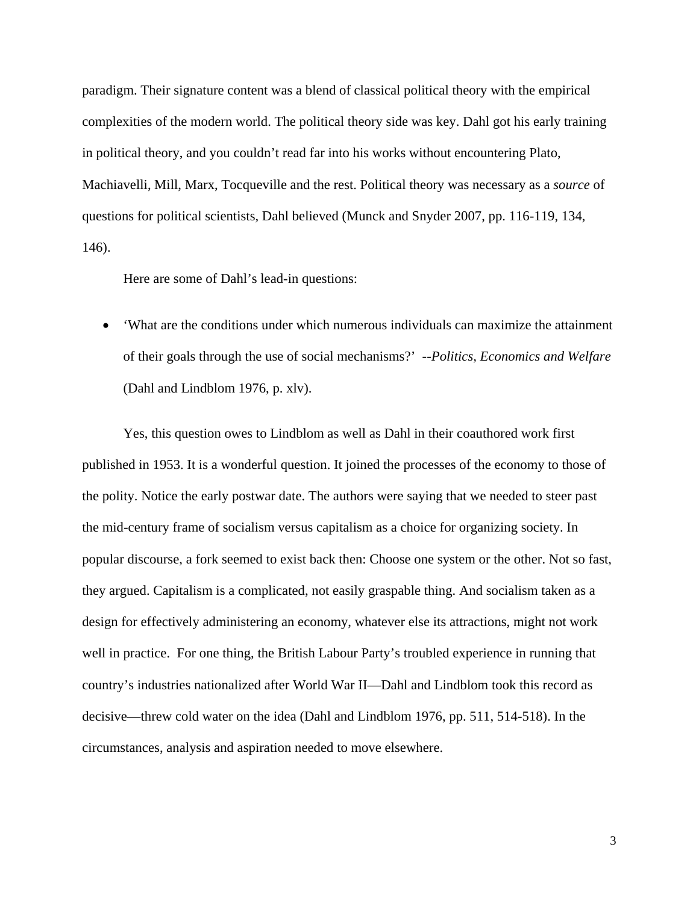paradigm. Their signature content was a blend of classical political theory with the empirical complexities of the modern world. The political theory side was key. Dahl got his early training in political theory, and you couldn't read far into his works without encountering Plato, Machiavelli, Mill, Marx, Tocqueville and the rest. Political theory was necessary as a *source* of questions for political scientists, Dahl believed (Munck and Snyder 2007, pp. 116-119, 134, 146).

Here are some of Dahl's lead-in questions:

 'What are the conditions under which numerous individuals can maximize the attainment of their goals through the use of social mechanisms?' --*Politics, Economics and Welfare* (Dahl and Lindblom 1976, p. xlv).

Yes, this question owes to Lindblom as well as Dahl in their coauthored work first published in 1953. It is a wonderful question. It joined the processes of the economy to those of the polity. Notice the early postwar date. The authors were saying that we needed to steer past the mid-century frame of socialism versus capitalism as a choice for organizing society. In popular discourse, a fork seemed to exist back then: Choose one system or the other. Not so fast, they argued. Capitalism is a complicated, not easily graspable thing. And socialism taken as a design for effectively administering an economy, whatever else its attractions, might not work well in practice. For one thing, the British Labour Party's troubled experience in running that country's industries nationalized after World War II—Dahl and Lindblom took this record as decisive—threw cold water on the idea (Dahl and Lindblom 1976, pp. 511, 514-518). In the circumstances, analysis and aspiration needed to move elsewhere.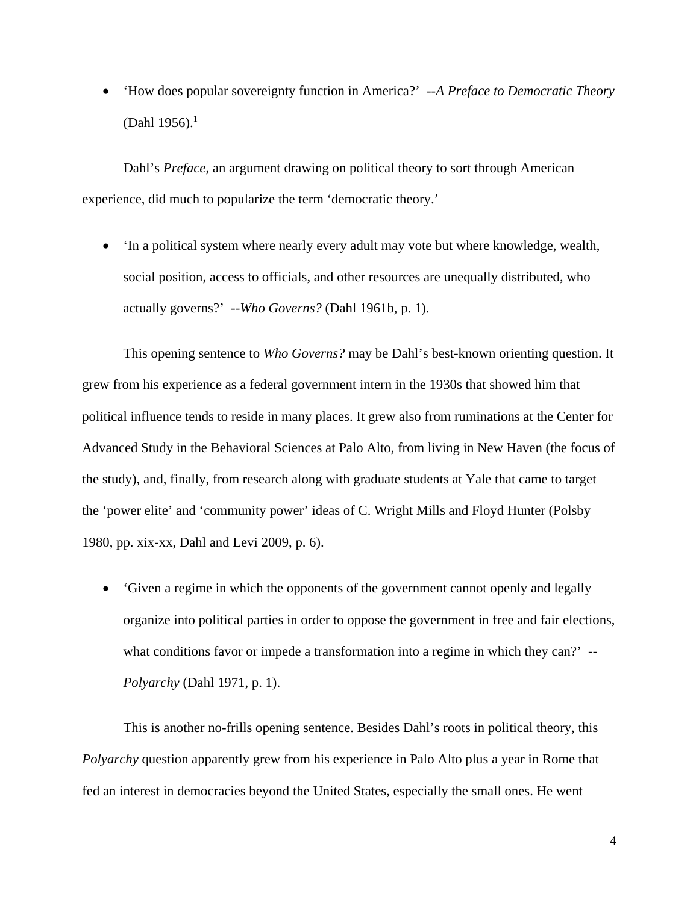'How does popular sovereignty function in America?' --*A Preface to Democratic Theory* (Dahl 1956).<sup>1</sup>

Dahl's *Preface*, an argument drawing on political theory to sort through American experience, did much to popularize the term 'democratic theory.'

 'In a political system where nearly every adult may vote but where knowledge, wealth, social position, access to officials, and other resources are unequally distributed, who actually governs?' --*Who Governs?* (Dahl 1961b, p. 1).

This opening sentence to *Who Governs?* may be Dahl's best-known orienting question. It grew from his experience as a federal government intern in the 1930s that showed him that political influence tends to reside in many places. It grew also from ruminations at the Center for Advanced Study in the Behavioral Sciences at Palo Alto, from living in New Haven (the focus of the study), and, finally, from research along with graduate students at Yale that came to target the 'power elite' and 'community power' ideas of C. Wright Mills and Floyd Hunter (Polsby 1980, pp. xix-xx, Dahl and Levi 2009, p. 6).

 'Given a regime in which the opponents of the government cannot openly and legally organize into political parties in order to oppose the government in free and fair elections, what conditions favor or impede a transformation into a regime in which they can?' --*Polyarchy* (Dahl 1971, p. 1).

This is another no-frills opening sentence. Besides Dahl's roots in political theory, this *Polyarchy* question apparently grew from his experience in Palo Alto plus a year in Rome that fed an interest in democracies beyond the United States, especially the small ones. He went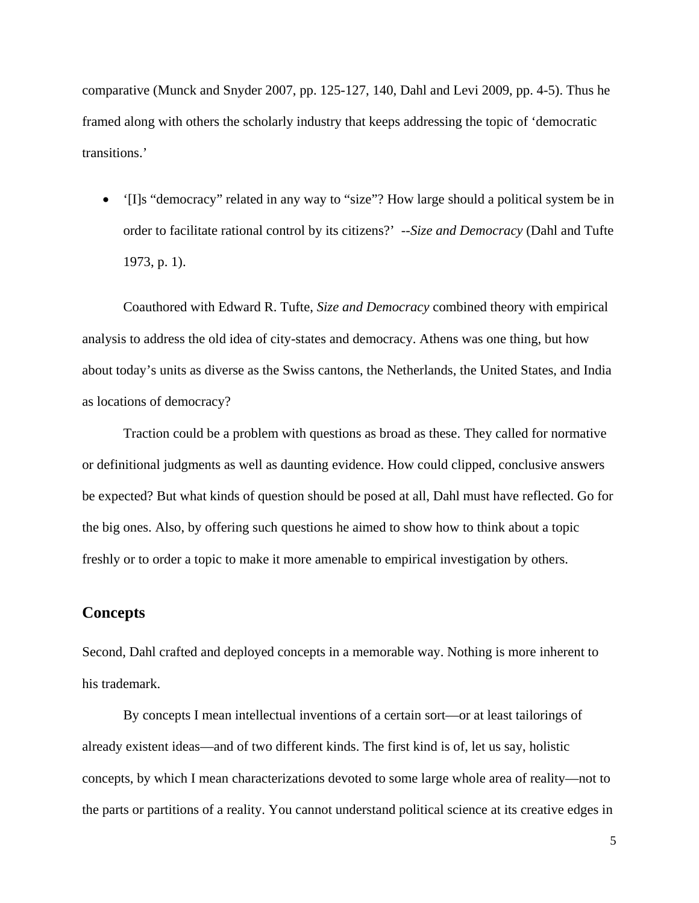comparative (Munck and Snyder 2007, pp. 125-127, 140, Dahl and Levi 2009, pp. 4-5). Thus he framed along with others the scholarly industry that keeps addressing the topic of 'democratic transitions.'

 '[I]s "democracy" related in any way to "size"? How large should a political system be in order to facilitate rational control by its citizens?' --*Size and Democracy* (Dahl and Tufte 1973, p. 1).

Coauthored with Edward R. Tufte, *Size and Democracy* combined theory with empirical analysis to address the old idea of city-states and democracy. Athens was one thing, but how about today's units as diverse as the Swiss cantons, the Netherlands, the United States, and India as locations of democracy?

Traction could be a problem with questions as broad as these. They called for normative or definitional judgments as well as daunting evidence. How could clipped, conclusive answers be expected? But what kinds of question should be posed at all, Dahl must have reflected. Go for the big ones. Also, by offering such questions he aimed to show how to think about a topic freshly or to order a topic to make it more amenable to empirical investigation by others.

# **Concepts**

Second, Dahl crafted and deployed concepts in a memorable way. Nothing is more inherent to his trademark.

By concepts I mean intellectual inventions of a certain sort—or at least tailorings of already existent ideas—and of two different kinds. The first kind is of, let us say, holistic concepts, by which I mean characterizations devoted to some large whole area of reality—not to the parts or partitions of a reality. You cannot understand political science at its creative edges in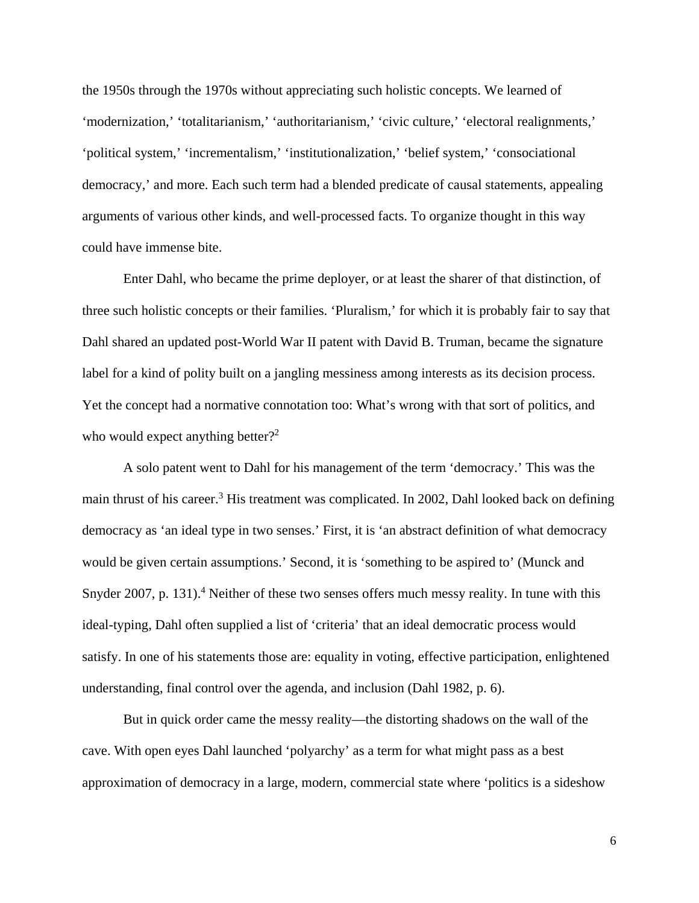the 1950s through the 1970s without appreciating such holistic concepts. We learned of 'modernization,' 'totalitarianism,' 'authoritarianism,' 'civic culture,' 'electoral realignments,' 'political system,' 'incrementalism,' 'institutionalization,' 'belief system,' 'consociational democracy,' and more. Each such term had a blended predicate of causal statements, appealing arguments of various other kinds, and well-processed facts. To organize thought in this way could have immense bite.

Enter Dahl, who became the prime deployer, or at least the sharer of that distinction, of three such holistic concepts or their families. 'Pluralism,' for which it is probably fair to say that Dahl shared an updated post-World War II patent with David B. Truman, became the signature label for a kind of polity built on a jangling messiness among interests as its decision process. Yet the concept had a normative connotation too: What's wrong with that sort of politics, and who would expect anything better?<sup>2</sup>

A solo patent went to Dahl for his management of the term 'democracy.' This was the main thrust of his career.<sup>3</sup> His treatment was complicated. In 2002, Dahl looked back on defining democracy as 'an ideal type in two senses.' First, it is 'an abstract definition of what democracy would be given certain assumptions.' Second, it is 'something to be aspired to' (Munck and Snyder 2007, p. 131).<sup>4</sup> Neither of these two senses offers much messy reality. In tune with this ideal-typing, Dahl often supplied a list of 'criteria' that an ideal democratic process would satisfy. In one of his statements those are: equality in voting, effective participation, enlightened understanding, final control over the agenda, and inclusion (Dahl 1982, p. 6).

But in quick order came the messy reality—the distorting shadows on the wall of the cave. With open eyes Dahl launched 'polyarchy' as a term for what might pass as a best approximation of democracy in a large, modern, commercial state where 'politics is a sideshow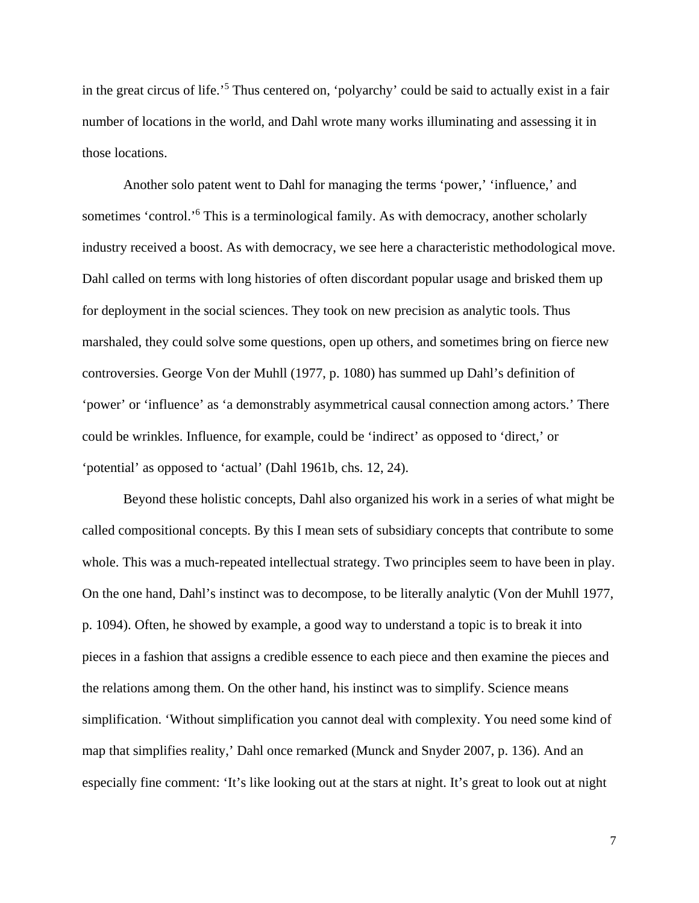in the great circus of life.<sup>'5</sup> Thus centered on, 'polyarchy' could be said to actually exist in a fair number of locations in the world, and Dahl wrote many works illuminating and assessing it in those locations.

Another solo patent went to Dahl for managing the terms 'power,' 'influence,' and sometimes 'control.'<sup>6</sup> This is a terminological family. As with democracy, another scholarly industry received a boost. As with democracy, we see here a characteristic methodological move. Dahl called on terms with long histories of often discordant popular usage and brisked them up for deployment in the social sciences. They took on new precision as analytic tools. Thus marshaled, they could solve some questions, open up others, and sometimes bring on fierce new controversies. George Von der Muhll (1977, p. 1080) has summed up Dahl's definition of 'power' or 'influence' as 'a demonstrably asymmetrical causal connection among actors.' There could be wrinkles. Influence, for example, could be 'indirect' as opposed to 'direct,' or 'potential' as opposed to 'actual' (Dahl 1961b, chs. 12, 24).

Beyond these holistic concepts, Dahl also organized his work in a series of what might be called compositional concepts. By this I mean sets of subsidiary concepts that contribute to some whole. This was a much-repeated intellectual strategy. Two principles seem to have been in play. On the one hand, Dahl's instinct was to decompose, to be literally analytic (Von der Muhll 1977, p. 1094). Often, he showed by example, a good way to understand a topic is to break it into pieces in a fashion that assigns a credible essence to each piece and then examine the pieces and the relations among them. On the other hand, his instinct was to simplify. Science means simplification. 'Without simplification you cannot deal with complexity. You need some kind of map that simplifies reality,' Dahl once remarked (Munck and Snyder 2007, p. 136). And an especially fine comment: 'It's like looking out at the stars at night. It's great to look out at night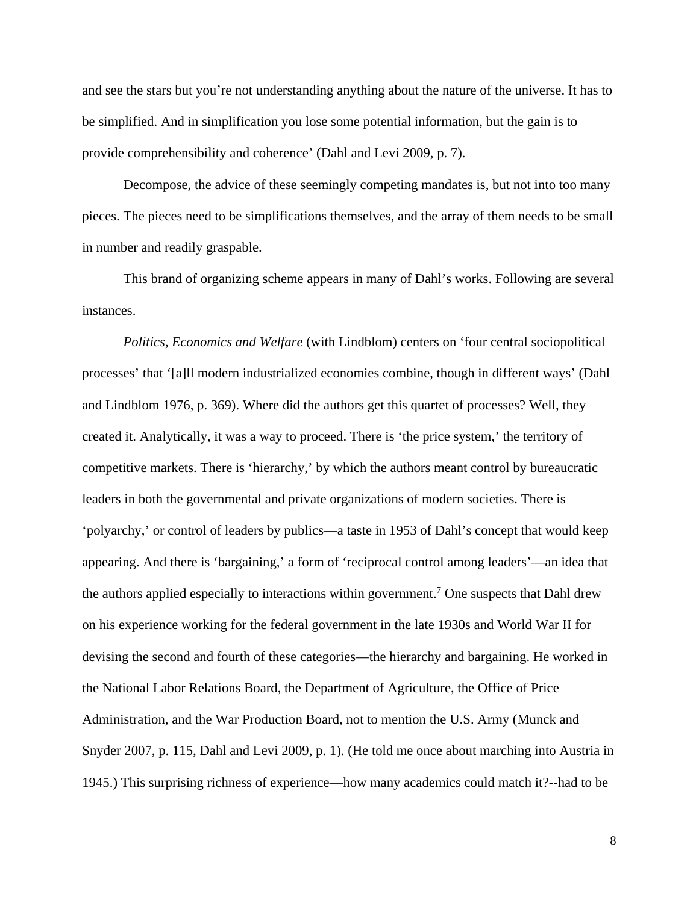and see the stars but you're not understanding anything about the nature of the universe. It has to be simplified. And in simplification you lose some potential information, but the gain is to provide comprehensibility and coherence' (Dahl and Levi 2009, p. 7).

Decompose, the advice of these seemingly competing mandates is, but not into too many pieces. The pieces need to be simplifications themselves, and the array of them needs to be small in number and readily graspable.

This brand of organizing scheme appears in many of Dahl's works. Following are several instances.

*Politics, Economics and Welfare* (with Lindblom) centers on 'four central sociopolitical processes' that '[a]ll modern industrialized economies combine, though in different ways' (Dahl and Lindblom 1976, p. 369). Where did the authors get this quartet of processes? Well, they created it. Analytically, it was a way to proceed. There is 'the price system,' the territory of competitive markets. There is 'hierarchy,' by which the authors meant control by bureaucratic leaders in both the governmental and private organizations of modern societies. There is 'polyarchy,' or control of leaders by publics—a taste in 1953 of Dahl's concept that would keep appearing. And there is 'bargaining,' a form of 'reciprocal control among leaders'—an idea that the authors applied especially to interactions within government.<sup>7</sup> One suspects that Dahl drew on his experience working for the federal government in the late 1930s and World War II for devising the second and fourth of these categories—the hierarchy and bargaining. He worked in the National Labor Relations Board, the Department of Agriculture, the Office of Price Administration, and the War Production Board, not to mention the U.S. Army (Munck and Snyder 2007, p. 115, Dahl and Levi 2009, p. 1). (He told me once about marching into Austria in 1945.) This surprising richness of experience—how many academics could match it?--had to be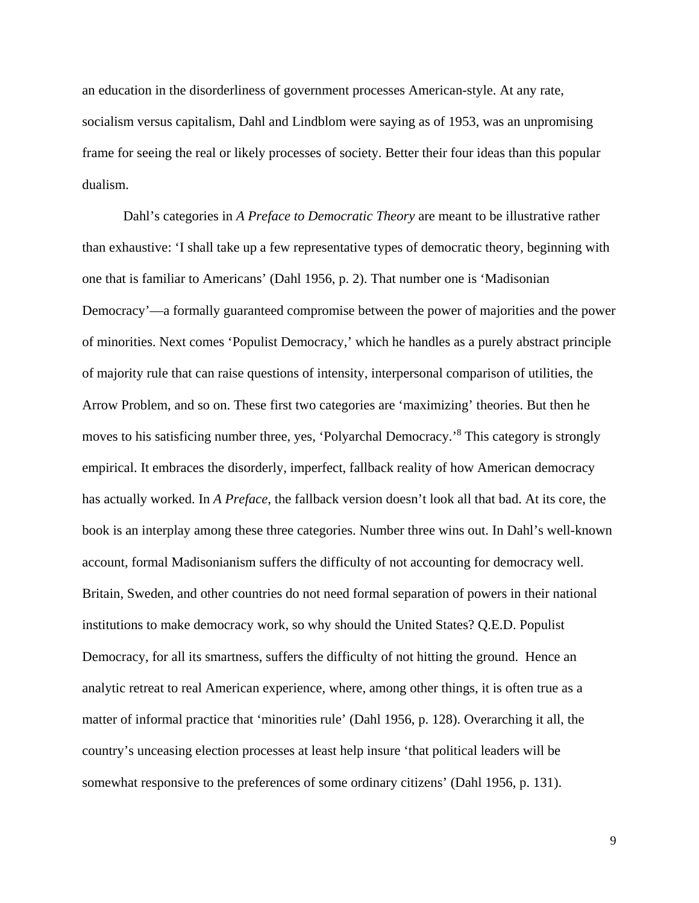an education in the disorderliness of government processes American-style. At any rate, socialism versus capitalism, Dahl and Lindblom were saying as of 1953, was an unpromising frame for seeing the real or likely processes of society. Better their four ideas than this popular dualism.

Dahl's categories in *A Preface to Democratic Theory* are meant to be illustrative rather than exhaustive: 'I shall take up a few representative types of democratic theory, beginning with one that is familiar to Americans' (Dahl 1956, p. 2). That number one is 'Madisonian Democracy'—a formally guaranteed compromise between the power of majorities and the power of minorities. Next comes 'Populist Democracy,' which he handles as a purely abstract principle of majority rule that can raise questions of intensity, interpersonal comparison of utilities, the Arrow Problem, and so on. These first two categories are 'maximizing' theories. But then he moves to his satisficing number three, yes, 'Polyarchal Democracy.'8 This category is strongly empirical. It embraces the disorderly, imperfect, fallback reality of how American democracy has actually worked. In *A Preface*, the fallback version doesn't look all that bad. At its core, the book is an interplay among these three categories. Number three wins out. In Dahl's well-known account, formal Madisonianism suffers the difficulty of not accounting for democracy well. Britain, Sweden, and other countries do not need formal separation of powers in their national institutions to make democracy work, so why should the United States? Q.E.D. Populist Democracy, for all its smartness, suffers the difficulty of not hitting the ground. Hence an analytic retreat to real American experience, where, among other things, it is often true as a matter of informal practice that 'minorities rule' (Dahl 1956, p. 128). Overarching it all, the country's unceasing election processes at least help insure 'that political leaders will be somewhat responsive to the preferences of some ordinary citizens' (Dahl 1956, p. 131).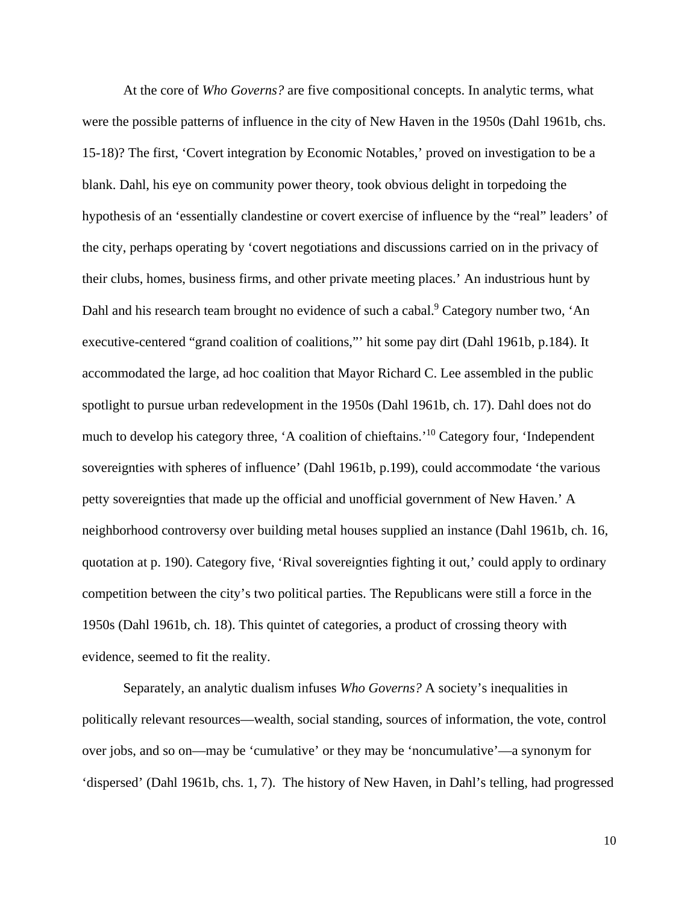At the core of *Who Governs?* are five compositional concepts. In analytic terms, what were the possible patterns of influence in the city of New Haven in the 1950s (Dahl 1961b, chs. 15-18)? The first, 'Covert integration by Economic Notables,' proved on investigation to be a blank. Dahl, his eye on community power theory, took obvious delight in torpedoing the hypothesis of an 'essentially clandestine or covert exercise of influence by the "real" leaders' of the city, perhaps operating by 'covert negotiations and discussions carried on in the privacy of their clubs, homes, business firms, and other private meeting places.' An industrious hunt by Dahl and his research team brought no evidence of such a cabal.<sup>9</sup> Category number two, 'An executive-centered "grand coalition of coalitions,"' hit some pay dirt (Dahl 1961b, p.184). It accommodated the large, ad hoc coalition that Mayor Richard C. Lee assembled in the public spotlight to pursue urban redevelopment in the 1950s (Dahl 1961b, ch. 17). Dahl does not do much to develop his category three, 'A coalition of chieftains.'10 Category four, 'Independent sovereignties with spheres of influence' (Dahl 1961b, p.199), could accommodate 'the various petty sovereignties that made up the official and unofficial government of New Haven.' A neighborhood controversy over building metal houses supplied an instance (Dahl 1961b, ch. 16, quotation at p. 190). Category five, 'Rival sovereignties fighting it out,' could apply to ordinary competition between the city's two political parties. The Republicans were still a force in the 1950s (Dahl 1961b, ch. 18). This quintet of categories, a product of crossing theory with evidence, seemed to fit the reality.

Separately, an analytic dualism infuses *Who Governs?* A society's inequalities in politically relevant resources—wealth, social standing, sources of information, the vote, control over jobs, and so on—may be 'cumulative' or they may be 'noncumulative'—a synonym for 'dispersed' (Dahl 1961b, chs. 1, 7). The history of New Haven, in Dahl's telling, had progressed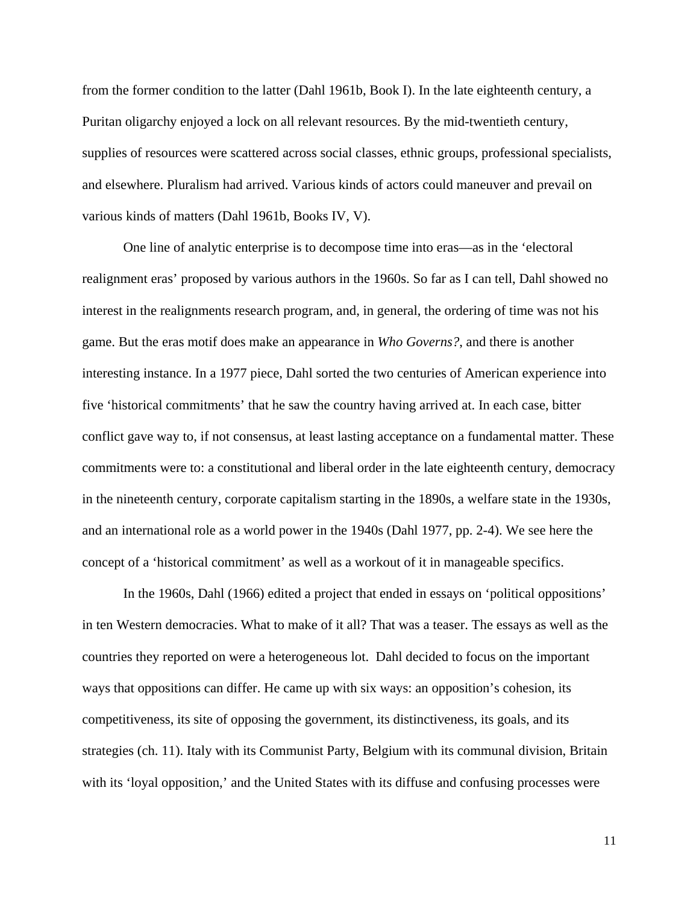from the former condition to the latter (Dahl 1961b, Book I). In the late eighteenth century, a Puritan oligarchy enjoyed a lock on all relevant resources. By the mid-twentieth century, supplies of resources were scattered across social classes, ethnic groups, professional specialists, and elsewhere. Pluralism had arrived. Various kinds of actors could maneuver and prevail on various kinds of matters (Dahl 1961b, Books IV, V).

One line of analytic enterprise is to decompose time into eras—as in the 'electoral realignment eras' proposed by various authors in the 1960s. So far as I can tell, Dahl showed no interest in the realignments research program, and, in general, the ordering of time was not his game. But the eras motif does make an appearance in *Who Governs?*, and there is another interesting instance. In a 1977 piece, Dahl sorted the two centuries of American experience into five 'historical commitments' that he saw the country having arrived at. In each case, bitter conflict gave way to, if not consensus, at least lasting acceptance on a fundamental matter. These commitments were to: a constitutional and liberal order in the late eighteenth century, democracy in the nineteenth century, corporate capitalism starting in the 1890s, a welfare state in the 1930s, and an international role as a world power in the 1940s (Dahl 1977, pp. 2-4). We see here the concept of a 'historical commitment' as well as a workout of it in manageable specifics.

In the 1960s, Dahl (1966) edited a project that ended in essays on 'political oppositions' in ten Western democracies. What to make of it all? That was a teaser. The essays as well as the countries they reported on were a heterogeneous lot. Dahl decided to focus on the important ways that oppositions can differ. He came up with six ways: an opposition's cohesion, its competitiveness, its site of opposing the government, its distinctiveness, its goals, and its strategies (ch. 11). Italy with its Communist Party, Belgium with its communal division, Britain with its 'loyal opposition,' and the United States with its diffuse and confusing processes were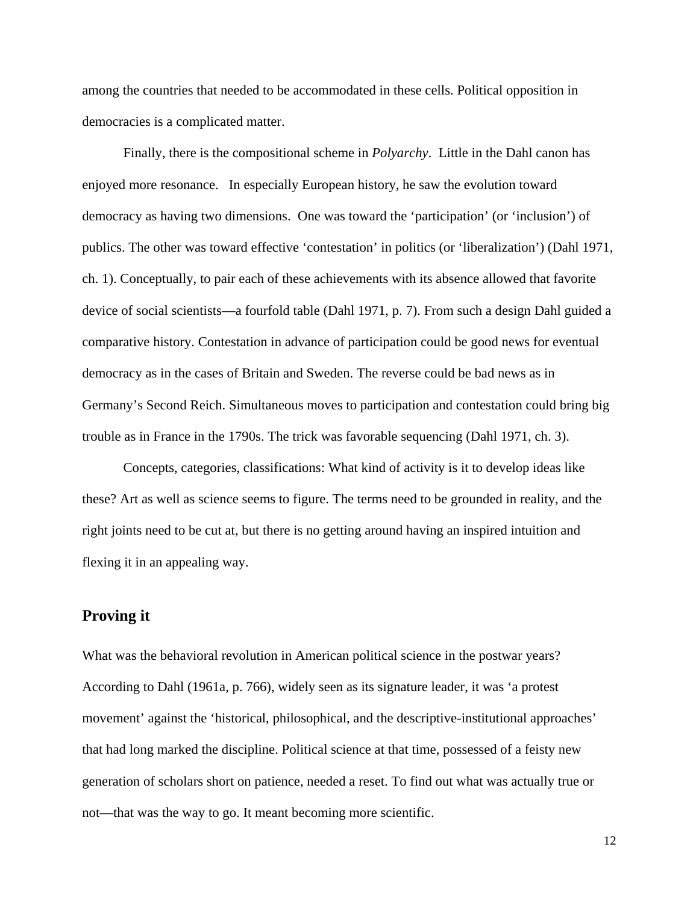among the countries that needed to be accommodated in these cells. Political opposition in democracies is a complicated matter.

Finally, there is the compositional scheme in *Polyarchy*. Little in the Dahl canon has enjoyed more resonance. In especially European history, he saw the evolution toward democracy as having two dimensions. One was toward the 'participation' (or 'inclusion') of publics. The other was toward effective 'contestation' in politics (or 'liberalization') (Dahl 1971, ch. 1). Conceptually, to pair each of these achievements with its absence allowed that favorite device of social scientists—a fourfold table (Dahl 1971, p. 7). From such a design Dahl guided a comparative history. Contestation in advance of participation could be good news for eventual democracy as in the cases of Britain and Sweden. The reverse could be bad news as in Germany's Second Reich. Simultaneous moves to participation and contestation could bring big trouble as in France in the 1790s. The trick was favorable sequencing (Dahl 1971, ch. 3).

Concepts, categories, classifications: What kind of activity is it to develop ideas like these? Art as well as science seems to figure. The terms need to be grounded in reality, and the right joints need to be cut at, but there is no getting around having an inspired intuition and flexing it in an appealing way.

### **Proving it**

What was the behavioral revolution in American political science in the postwar years? According to Dahl (1961a, p. 766), widely seen as its signature leader, it was 'a protest movement' against the 'historical, philosophical, and the descriptive-institutional approaches' that had long marked the discipline. Political science at that time, possessed of a feisty new generation of scholars short on patience, needed a reset. To find out what was actually true or not—that was the way to go. It meant becoming more scientific.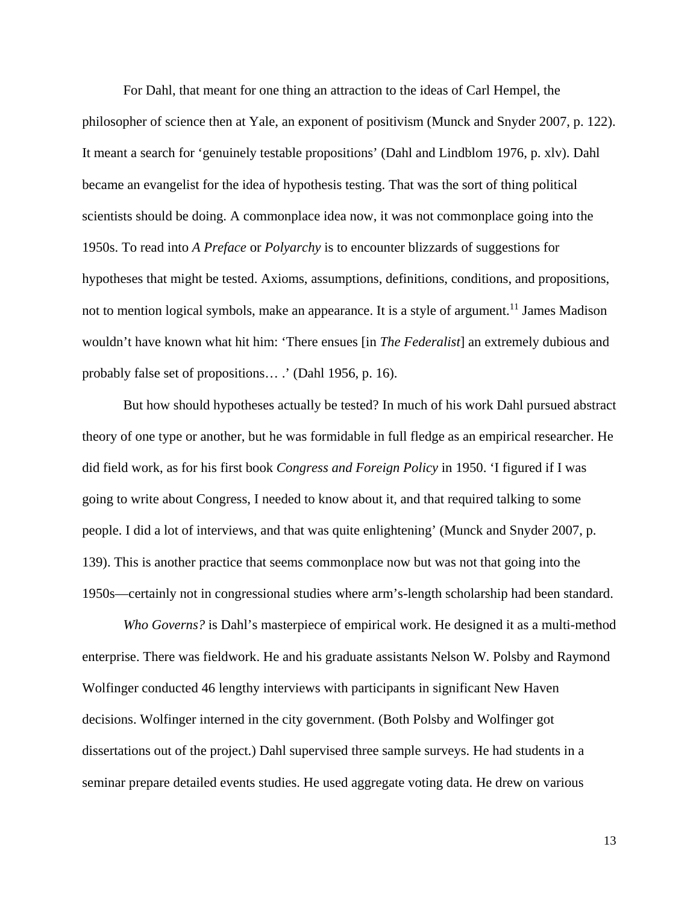For Dahl, that meant for one thing an attraction to the ideas of Carl Hempel, the philosopher of science then at Yale, an exponent of positivism (Munck and Snyder 2007, p. 122). It meant a search for 'genuinely testable propositions' (Dahl and Lindblom 1976, p. xlv). Dahl became an evangelist for the idea of hypothesis testing. That was the sort of thing political scientists should be doing. A commonplace idea now, it was not commonplace going into the 1950s. To read into *A Preface* or *Polyarchy* is to encounter blizzards of suggestions for hypotheses that might be tested. Axioms, assumptions, definitions, conditions, and propositions, not to mention logical symbols, make an appearance. It is a style of argument.<sup>11</sup> James Madison wouldn't have known what hit him: 'There ensues [in *The Federalist*] an extremely dubious and probably false set of propositions… .' (Dahl 1956, p. 16).

But how should hypotheses actually be tested? In much of his work Dahl pursued abstract theory of one type or another, but he was formidable in full fledge as an empirical researcher. He did field work, as for his first book *Congress and Foreign Policy* in 1950. 'I figured if I was going to write about Congress, I needed to know about it, and that required talking to some people. I did a lot of interviews, and that was quite enlightening' (Munck and Snyder 2007, p. 139). This is another practice that seems commonplace now but was not that going into the 1950s—certainly not in congressional studies where arm's-length scholarship had been standard.

*Who Governs?* is Dahl's masterpiece of empirical work. He designed it as a multi-method enterprise. There was fieldwork. He and his graduate assistants Nelson W. Polsby and Raymond Wolfinger conducted 46 lengthy interviews with participants in significant New Haven decisions. Wolfinger interned in the city government. (Both Polsby and Wolfinger got dissertations out of the project.) Dahl supervised three sample surveys. He had students in a seminar prepare detailed events studies. He used aggregate voting data. He drew on various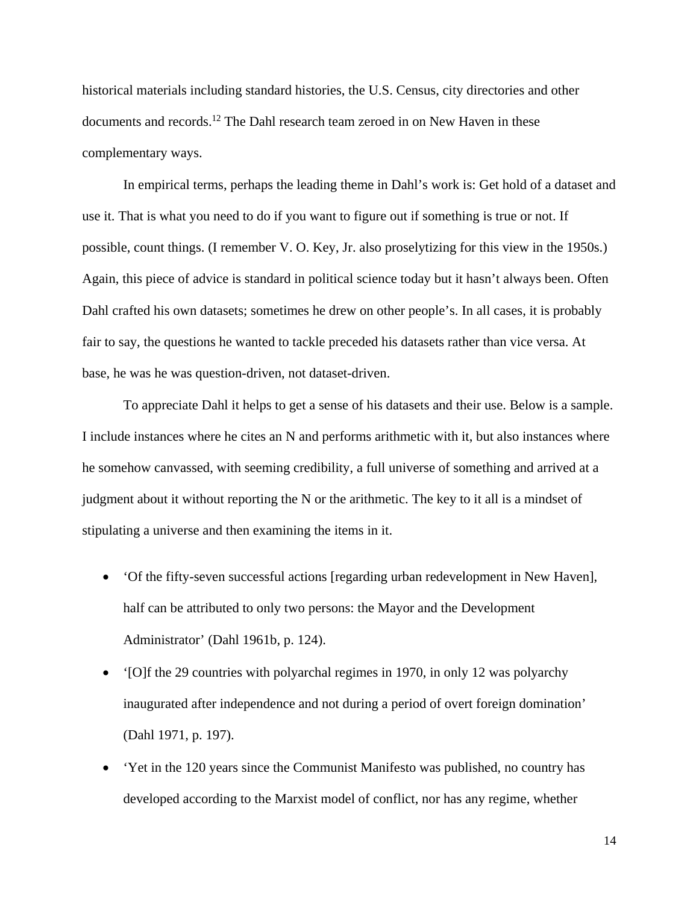historical materials including standard histories, the U.S. Census, city directories and other documents and records.<sup>12</sup> The Dahl research team zeroed in on New Haven in these complementary ways.

In empirical terms, perhaps the leading theme in Dahl's work is: Get hold of a dataset and use it. That is what you need to do if you want to figure out if something is true or not. If possible, count things. (I remember V. O. Key, Jr. also proselytizing for this view in the 1950s.) Again, this piece of advice is standard in political science today but it hasn't always been. Often Dahl crafted his own datasets; sometimes he drew on other people's. In all cases, it is probably fair to say, the questions he wanted to tackle preceded his datasets rather than vice versa. At base, he was he was question-driven, not dataset-driven.

To appreciate Dahl it helps to get a sense of his datasets and their use. Below is a sample. I include instances where he cites an N and performs arithmetic with it, but also instances where he somehow canvassed, with seeming credibility, a full universe of something and arrived at a judgment about it without reporting the N or the arithmetic. The key to it all is a mindset of stipulating a universe and then examining the items in it.

- 'Of the fifty-seven successful actions [regarding urban redevelopment in New Haven], half can be attributed to only two persons: the Mayor and the Development Administrator' (Dahl 1961b, p. 124).
- '[O]f the 29 countries with polyarchal regimes in 1970, in only 12 was polyarchy inaugurated after independence and not during a period of overt foreign domination' (Dahl 1971, p. 197).
- 'Yet in the 120 years since the Communist Manifesto was published, no country has developed according to the Marxist model of conflict, nor has any regime, whether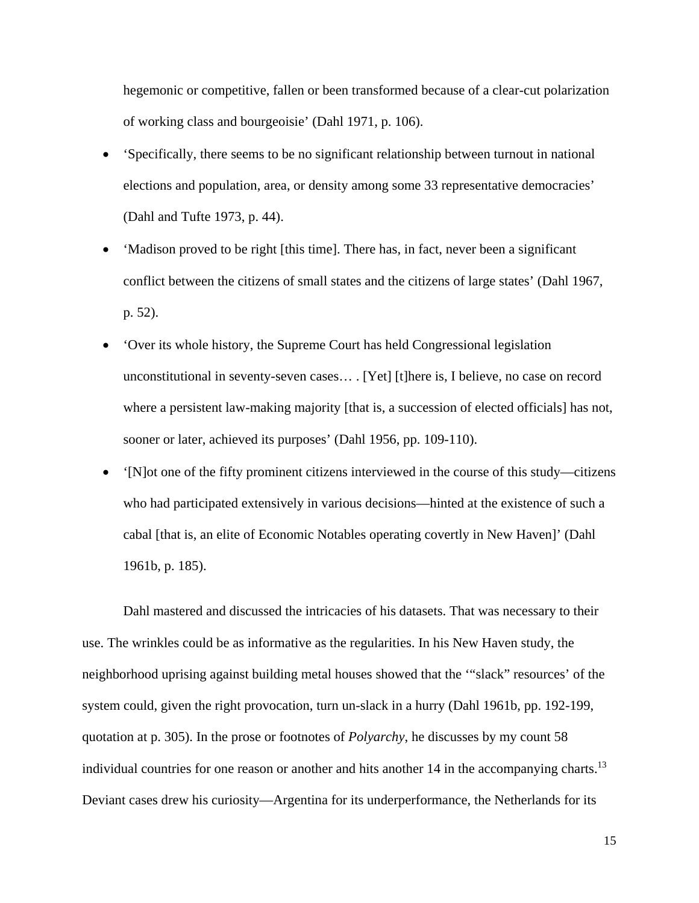hegemonic or competitive, fallen or been transformed because of a clear-cut polarization of working class and bourgeoisie' (Dahl 1971, p. 106).

- 'Specifically, there seems to be no significant relationship between turnout in national elections and population, area, or density among some 33 representative democracies' (Dahl and Tufte 1973, p. 44).
- 'Madison proved to be right [this time]. There has, in fact, never been a significant conflict between the citizens of small states and the citizens of large states' (Dahl 1967, p. 52).
- 'Over its whole history, the Supreme Court has held Congressional legislation unconstitutional in seventy-seven cases… . [Yet] [t]here is, I believe, no case on record where a persistent law-making majority [that is, a succession of elected officials] has not, sooner or later, achieved its purposes' (Dahl 1956, pp. 109-110).
- '[N]ot one of the fifty prominent citizens interviewed in the course of this study—citizens who had participated extensively in various decisions—hinted at the existence of such a cabal [that is, an elite of Economic Notables operating covertly in New Haven]' (Dahl 1961b, p. 185).

Dahl mastered and discussed the intricacies of his datasets. That was necessary to their use. The wrinkles could be as informative as the regularities. In his New Haven study, the neighborhood uprising against building metal houses showed that the '"slack" resources' of the system could, given the right provocation, turn un-slack in a hurry (Dahl 1961b, pp. 192-199, quotation at p. 305). In the prose or footnotes of *Polyarchy*, he discusses by my count 58 individual countries for one reason or another and hits another  $14$  in the accompanying charts.<sup>13</sup> Deviant cases drew his curiosity—Argentina for its underperformance, the Netherlands for its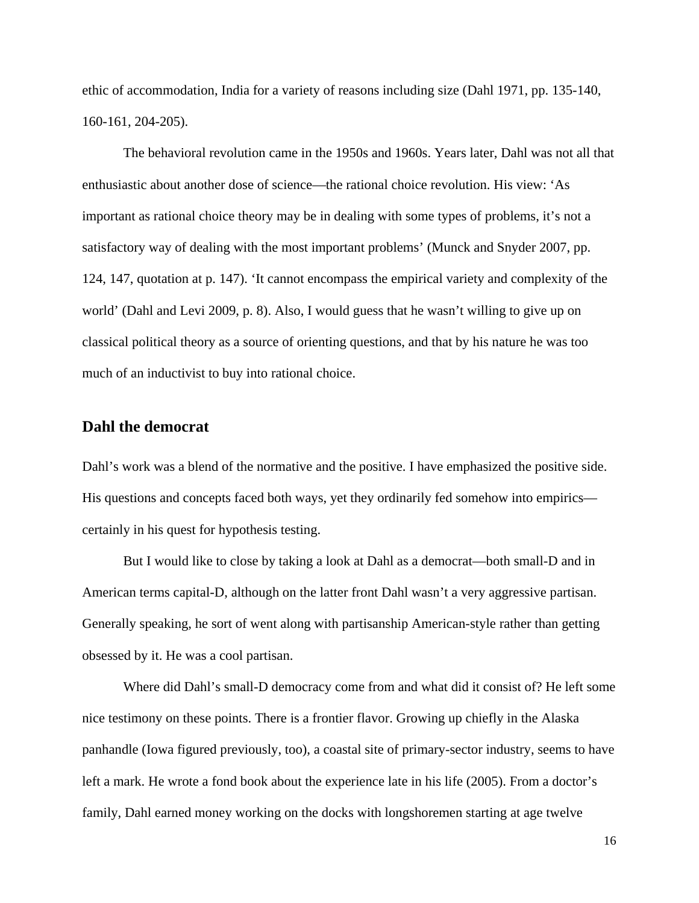ethic of accommodation, India for a variety of reasons including size (Dahl 1971, pp. 135-140, 160-161, 204-205).

The behavioral revolution came in the 1950s and 1960s. Years later, Dahl was not all that enthusiastic about another dose of science—the rational choice revolution. His view: 'As important as rational choice theory may be in dealing with some types of problems, it's not a satisfactory way of dealing with the most important problems' (Munck and Snyder 2007, pp. 124, 147, quotation at p. 147). 'It cannot encompass the empirical variety and complexity of the world' (Dahl and Levi 2009, p. 8). Also, I would guess that he wasn't willing to give up on classical political theory as a source of orienting questions, and that by his nature he was too much of an inductivist to buy into rational choice.

# **Dahl the democrat**

Dahl's work was a blend of the normative and the positive. I have emphasized the positive side. His questions and concepts faced both ways, yet they ordinarily fed somehow into empirics certainly in his quest for hypothesis testing.

But I would like to close by taking a look at Dahl as a democrat—both small-D and in American terms capital-D, although on the latter front Dahl wasn't a very aggressive partisan. Generally speaking, he sort of went along with partisanship American-style rather than getting obsessed by it. He was a cool partisan.

Where did Dahl's small-D democracy come from and what did it consist of? He left some nice testimony on these points. There is a frontier flavor. Growing up chiefly in the Alaska panhandle (Iowa figured previously, too), a coastal site of primary-sector industry, seems to have left a mark. He wrote a fond book about the experience late in his life (2005). From a doctor's family, Dahl earned money working on the docks with longshoremen starting at age twelve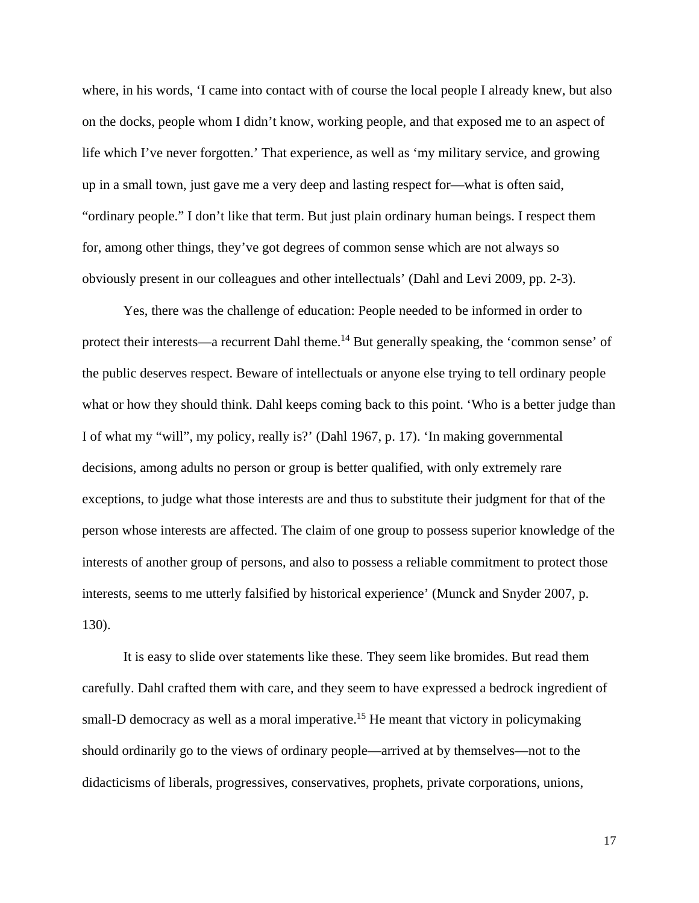where, in his words, 'I came into contact with of course the local people I already knew, but also on the docks, people whom I didn't know, working people, and that exposed me to an aspect of life which I've never forgotten.' That experience, as well as 'my military service, and growing up in a small town, just gave me a very deep and lasting respect for—what is often said, "ordinary people." I don't like that term. But just plain ordinary human beings. I respect them for, among other things, they've got degrees of common sense which are not always so obviously present in our colleagues and other intellectuals' (Dahl and Levi 2009, pp. 2-3).

Yes, there was the challenge of education: People needed to be informed in order to protect their interests—a recurrent Dahl theme.<sup>14</sup> But generally speaking, the 'common sense' of the public deserves respect. Beware of intellectuals or anyone else trying to tell ordinary people what or how they should think. Dahl keeps coming back to this point. 'Who is a better judge than I of what my "will", my policy, really is?' (Dahl 1967, p. 17). 'In making governmental decisions, among adults no person or group is better qualified, with only extremely rare exceptions, to judge what those interests are and thus to substitute their judgment for that of the person whose interests are affected. The claim of one group to possess superior knowledge of the interests of another group of persons, and also to possess a reliable commitment to protect those interests, seems to me utterly falsified by historical experience' (Munck and Snyder 2007, p. 130).

It is easy to slide over statements like these. They seem like bromides. But read them carefully. Dahl crafted them with care, and they seem to have expressed a bedrock ingredient of small-D democracy as well as a moral imperative.<sup>15</sup> He meant that victory in policymaking should ordinarily go to the views of ordinary people—arrived at by themselves—not to the didacticisms of liberals, progressives, conservatives, prophets, private corporations, unions,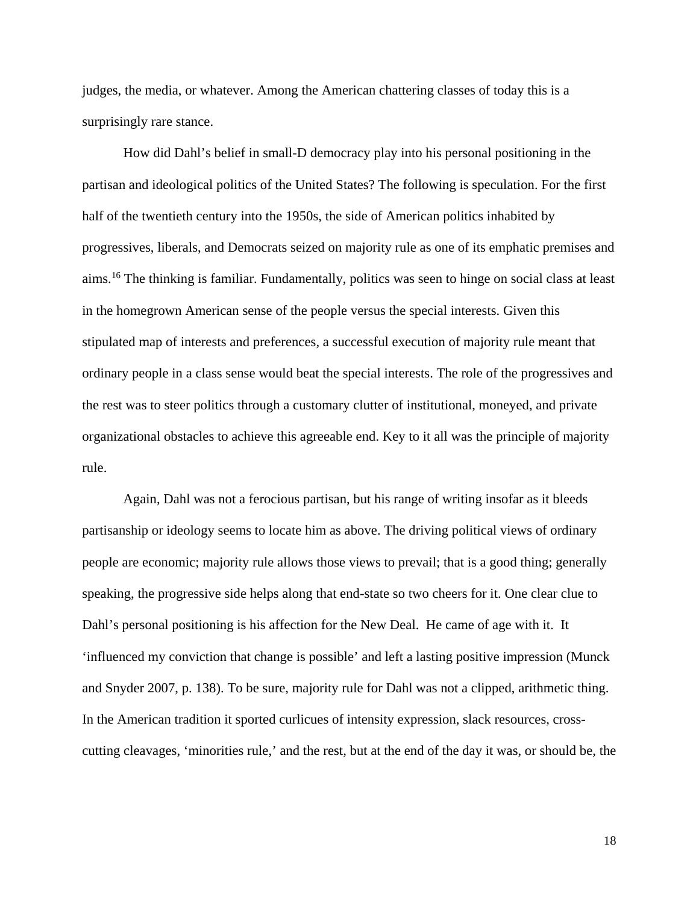judges, the media, or whatever. Among the American chattering classes of today this is a surprisingly rare stance.

How did Dahl's belief in small-D democracy play into his personal positioning in the partisan and ideological politics of the United States? The following is speculation. For the first half of the twentieth century into the 1950s, the side of American politics inhabited by progressives, liberals, and Democrats seized on majority rule as one of its emphatic premises and aims.16 The thinking is familiar. Fundamentally, politics was seen to hinge on social class at least in the homegrown American sense of the people versus the special interests. Given this stipulated map of interests and preferences, a successful execution of majority rule meant that ordinary people in a class sense would beat the special interests. The role of the progressives and the rest was to steer politics through a customary clutter of institutional, moneyed, and private organizational obstacles to achieve this agreeable end. Key to it all was the principle of majority rule.

Again, Dahl was not a ferocious partisan, but his range of writing insofar as it bleeds partisanship or ideology seems to locate him as above. The driving political views of ordinary people are economic; majority rule allows those views to prevail; that is a good thing; generally speaking, the progressive side helps along that end-state so two cheers for it. One clear clue to Dahl's personal positioning is his affection for the New Deal. He came of age with it. It 'influenced my conviction that change is possible' and left a lasting positive impression (Munck and Snyder 2007, p. 138). To be sure, majority rule for Dahl was not a clipped, arithmetic thing. In the American tradition it sported curlicues of intensity expression, slack resources, crosscutting cleavages, 'minorities rule,' and the rest, but at the end of the day it was, or should be, the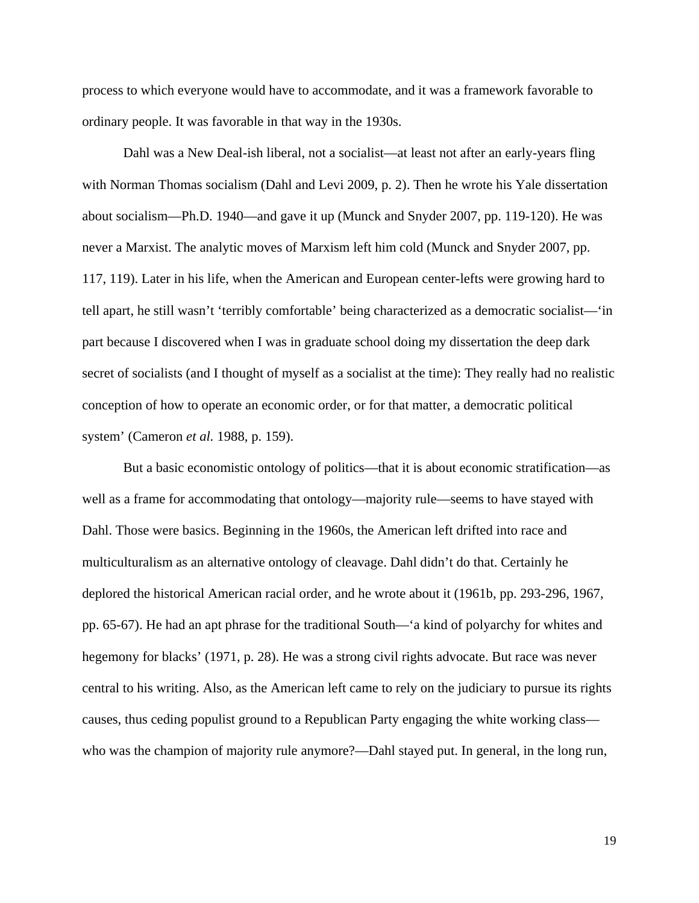process to which everyone would have to accommodate, and it was a framework favorable to ordinary people. It was favorable in that way in the 1930s.

Dahl was a New Deal-ish liberal, not a socialist—at least not after an early-years fling with Norman Thomas socialism (Dahl and Levi 2009, p. 2). Then he wrote his Yale dissertation about socialism—Ph.D. 1940—and gave it up (Munck and Snyder 2007, pp. 119-120). He was never a Marxist. The analytic moves of Marxism left him cold (Munck and Snyder 2007, pp. 117, 119). Later in his life, when the American and European center-lefts were growing hard to tell apart, he still wasn't 'terribly comfortable' being characterized as a democratic socialist—'in part because I discovered when I was in graduate school doing my dissertation the deep dark secret of socialists (and I thought of myself as a socialist at the time): They really had no realistic conception of how to operate an economic order, or for that matter, a democratic political system' (Cameron *et al.* 1988, p. 159).

But a basic economistic ontology of politics—that it is about economic stratification—as well as a frame for accommodating that ontology—majority rule—seems to have stayed with Dahl. Those were basics. Beginning in the 1960s, the American left drifted into race and multiculturalism as an alternative ontology of cleavage. Dahl didn't do that. Certainly he deplored the historical American racial order, and he wrote about it (1961b, pp. 293-296, 1967, pp. 65-67). He had an apt phrase for the traditional South—'a kind of polyarchy for whites and hegemony for blacks' (1971, p. 28). He was a strong civil rights advocate. But race was never central to his writing. Also, as the American left came to rely on the judiciary to pursue its rights causes, thus ceding populist ground to a Republican Party engaging the white working class who was the champion of majority rule anymore?—Dahl stayed put. In general, in the long run,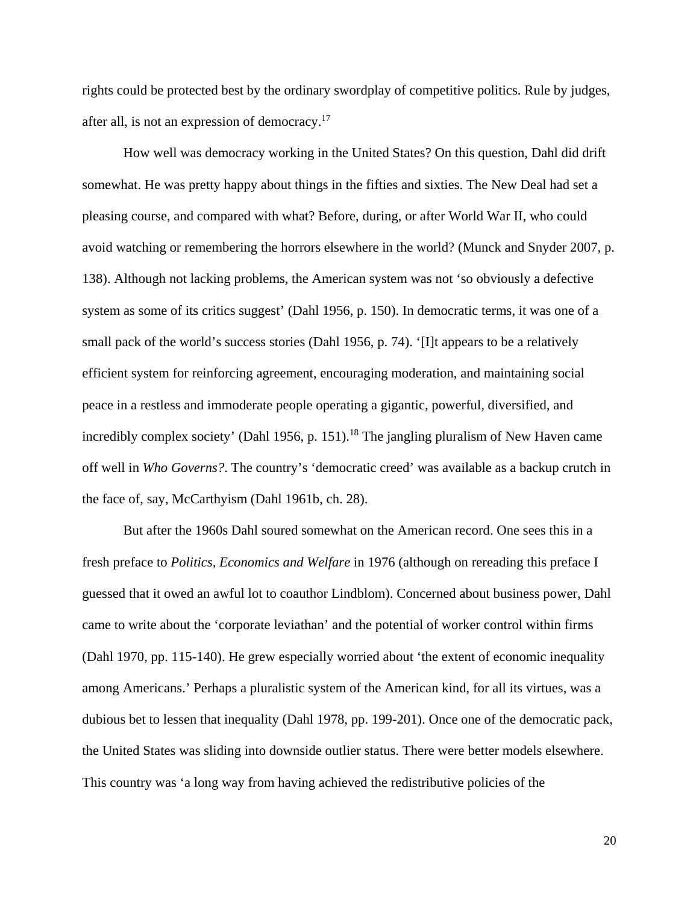rights could be protected best by the ordinary swordplay of competitive politics. Rule by judges, after all, is not an expression of democracy.17

How well was democracy working in the United States? On this question, Dahl did drift somewhat. He was pretty happy about things in the fifties and sixties. The New Deal had set a pleasing course, and compared with what? Before, during, or after World War II, who could avoid watching or remembering the horrors elsewhere in the world? (Munck and Snyder 2007, p. 138). Although not lacking problems, the American system was not 'so obviously a defective system as some of its critics suggest' (Dahl 1956, p. 150). In democratic terms, it was one of a small pack of the world's success stories (Dahl 1956, p. 74). '[I]t appears to be a relatively efficient system for reinforcing agreement, encouraging moderation, and maintaining social peace in a restless and immoderate people operating a gigantic, powerful, diversified, and incredibly complex society' (Dahl 1956, p. 151).<sup>18</sup> The jangling pluralism of New Haven came off well in *Who Governs?*. The country's 'democratic creed' was available as a backup crutch in the face of, say, McCarthyism (Dahl 1961b, ch. 28).

But after the 1960s Dahl soured somewhat on the American record. One sees this in a fresh preface to *Politics, Economics and Welfare* in 1976 (although on rereading this preface I guessed that it owed an awful lot to coauthor Lindblom). Concerned about business power, Dahl came to write about the 'corporate leviathan' and the potential of worker control within firms (Dahl 1970, pp. 115-140). He grew especially worried about 'the extent of economic inequality among Americans.' Perhaps a pluralistic system of the American kind, for all its virtues, was a dubious bet to lessen that inequality (Dahl 1978, pp. 199-201). Once one of the democratic pack, the United States was sliding into downside outlier status. There were better models elsewhere. This country was 'a long way from having achieved the redistributive policies of the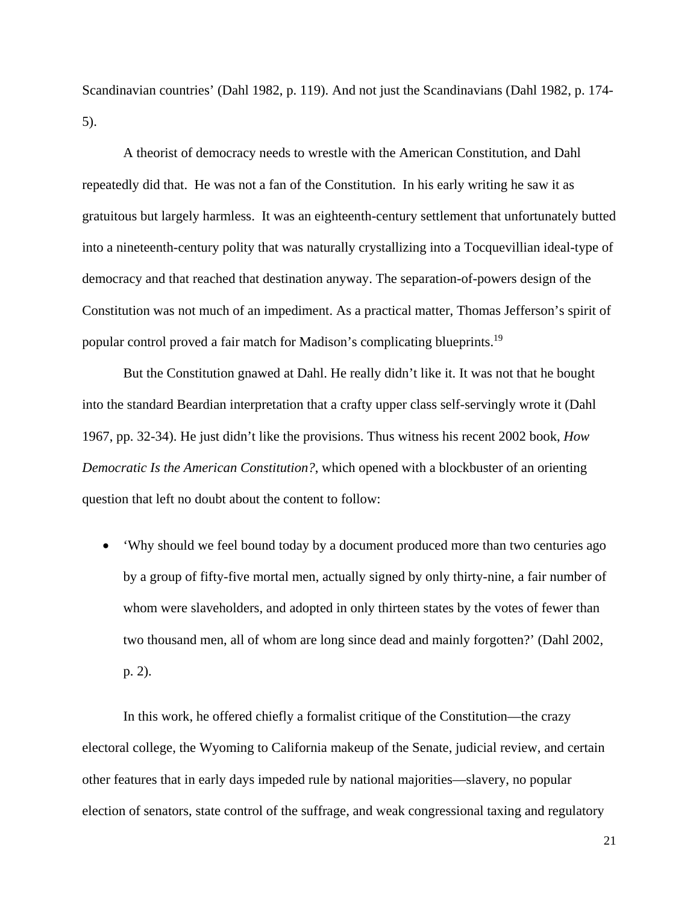Scandinavian countries' (Dahl 1982, p. 119). And not just the Scandinavians (Dahl 1982, p. 174- 5).

A theorist of democracy needs to wrestle with the American Constitution, and Dahl repeatedly did that. He was not a fan of the Constitution. In his early writing he saw it as gratuitous but largely harmless. It was an eighteenth-century settlement that unfortunately butted into a nineteenth-century polity that was naturally crystallizing into a Tocquevillian ideal-type of democracy and that reached that destination anyway. The separation-of-powers design of the Constitution was not much of an impediment. As a practical matter, Thomas Jefferson's spirit of popular control proved a fair match for Madison's complicating blueprints.19

But the Constitution gnawed at Dahl. He really didn't like it. It was not that he bought into the standard Beardian interpretation that a crafty upper class self-servingly wrote it (Dahl 1967, pp. 32-34). He just didn't like the provisions. Thus witness his recent 2002 book, *How Democratic Is the American Constitution?*, which opened with a blockbuster of an orienting question that left no doubt about the content to follow:

 'Why should we feel bound today by a document produced more than two centuries ago by a group of fifty-five mortal men, actually signed by only thirty-nine, a fair number of whom were slaveholders, and adopted in only thirteen states by the votes of fewer than two thousand men, all of whom are long since dead and mainly forgotten?' (Dahl 2002, p. 2).

In this work, he offered chiefly a formalist critique of the Constitution—the crazy electoral college, the Wyoming to California makeup of the Senate, judicial review, and certain other features that in early days impeded rule by national majorities—slavery, no popular election of senators, state control of the suffrage, and weak congressional taxing and regulatory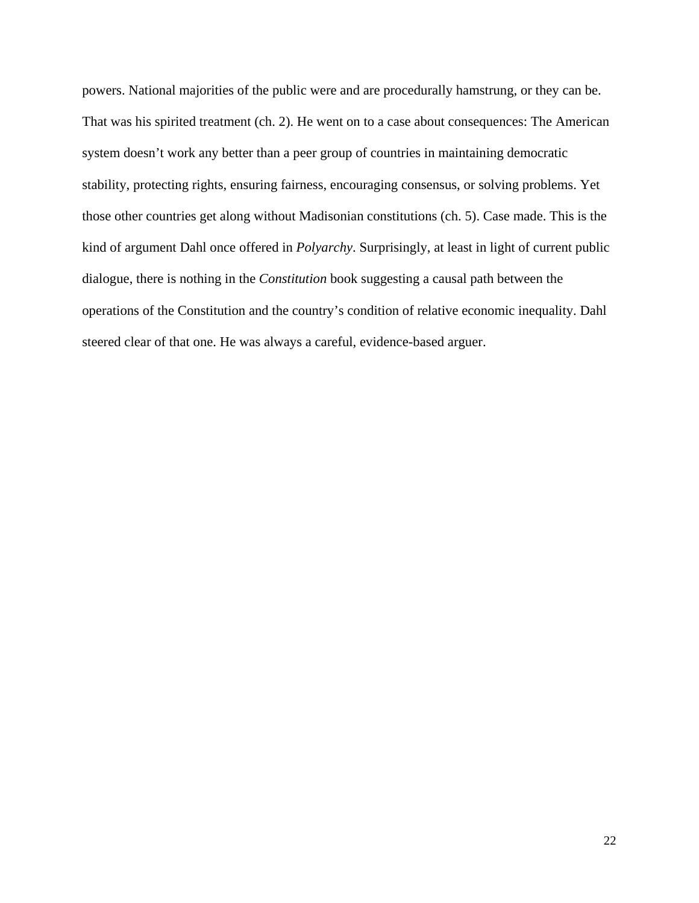powers. National majorities of the public were and are procedurally hamstrung, or they can be. That was his spirited treatment (ch. 2). He went on to a case about consequences: The American system doesn't work any better than a peer group of countries in maintaining democratic stability, protecting rights, ensuring fairness, encouraging consensus, or solving problems. Yet those other countries get along without Madisonian constitutions (ch. 5). Case made. This is the kind of argument Dahl once offered in *Polyarchy*. Surprisingly, at least in light of current public dialogue, there is nothing in the *Constitution* book suggesting a causal path between the operations of the Constitution and the country's condition of relative economic inequality. Dahl steered clear of that one. He was always a careful, evidence-based arguer.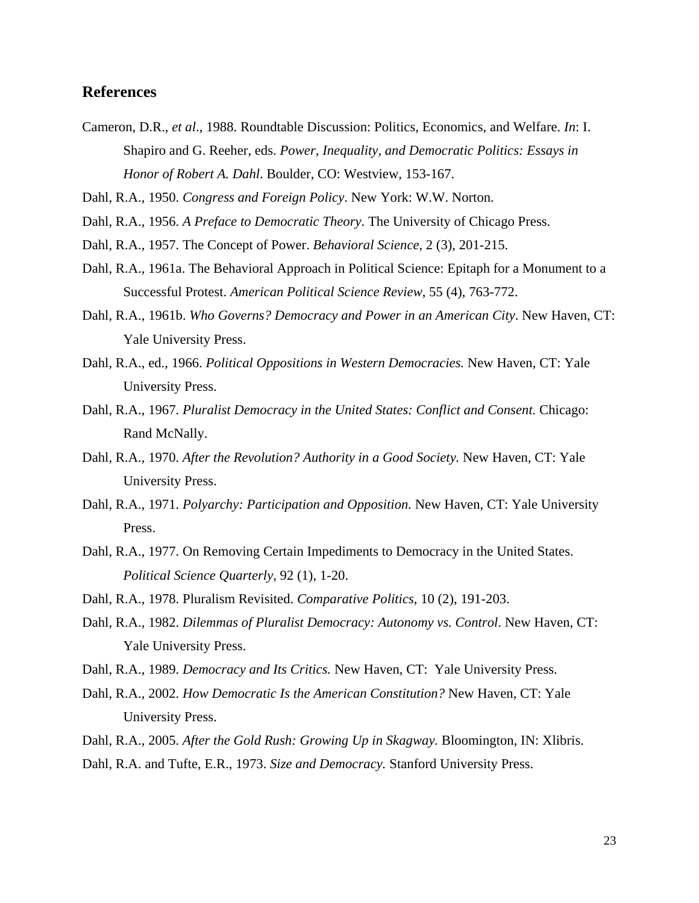### **References**

- Cameron, D.R., *et al*., 1988. Roundtable Discussion: Politics, Economics, and Welfare. *In*: I. Shapiro and G. Reeher, eds. *Power, Inequality, and Democratic Politics: Essays in Honor of Robert A. Dahl*. Boulder, CO: Westview, 153-167.
- Dahl, R.A., 1950. *Congress and Foreign Policy*. New York: W.W. Norton.
- Dahl, R.A., 1956. *A Preface to Democratic Theory*. The University of Chicago Press.
- Dahl, R.A., 1957. The Concept of Power. *Behavioral Science*, 2 (3), 201-215.
- Dahl, R.A., 1961a. The Behavioral Approach in Political Science: Epitaph for a Monument to a Successful Protest. *American Political Science Review*, 55 (4), 763-772.
- Dahl, R.A., 1961b. *Who Governs? Democracy and Power in an American City*. New Haven, CT: Yale University Press.
- Dahl, R.A., ed., 1966. *Political Oppositions in Western Democracies.* New Haven, CT: Yale University Press.
- Dahl, R.A., 1967. *Pluralist Democracy in the United States: Conflict and Consent.* Chicago: Rand McNally.
- Dahl, R.A., 1970. *After the Revolution? Authority in a Good Society.* New Haven, CT: Yale University Press.
- Dahl, R.A., 1971. *Polyarchy: Participation and Opposition.* New Haven, CT: Yale University Press.
- Dahl, R.A., 1977. On Removing Certain Impediments to Democracy in the United States. *Political Science Quarterly*, 92 (1), 1-20.
- Dahl, R.A., 1978. Pluralism Revisited. *Comparative Politics*, 10 (2), 191-203.
- Dahl, R.A., 1982. *Dilemmas of Pluralist Democracy: Autonomy vs. Control*. New Haven, CT: Yale University Press.
- Dahl, R.A., 1989. *Democracy and Its Critics.* New Haven, CT: Yale University Press.
- Dahl, R.A., 2002. *How Democratic Is the American Constitution?* New Haven, CT: Yale University Press.
- Dahl, R.A., 2005. *After the Gold Rush: Growing Up in Skagway.* Bloomington, IN: Xlibris.
- Dahl, R.A. and Tufte, E.R., 1973. *Size and Democracy.* Stanford University Press.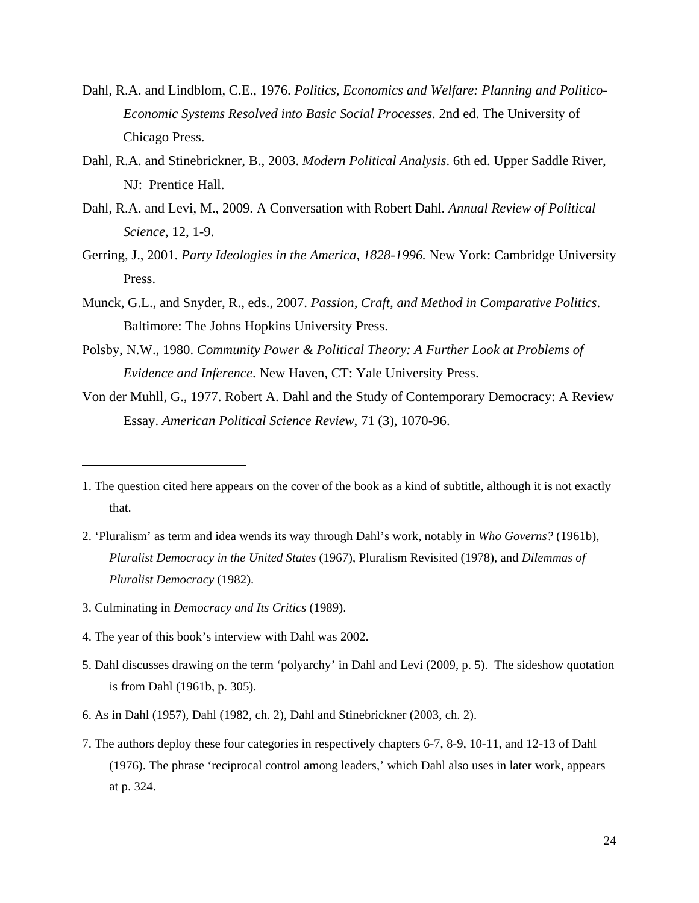- Dahl, R.A. and Lindblom, C.E., 1976. *Politics, Economics and Welfare: Planning and Politico-Economic Systems Resolved into Basic Social Processes*. 2nd ed. The University of Chicago Press.
- Dahl, R.A. and Stinebrickner, B., 2003. *Modern Political Analysis*. 6th ed. Upper Saddle River, NJ: Prentice Hall.
- Dahl, R.A. and Levi, M., 2009. A Conversation with Robert Dahl. *Annual Review of Political Science*, 12, 1-9.
- Gerring, J., 2001. *Party Ideologies in the America, 1828-1996.* New York: Cambridge University Press.
- Munck, G.L., and Snyder, R., eds., 2007. *Passion, Craft, and Method in Comparative Politics*. Baltimore: The Johns Hopkins University Press.
- Polsby, N.W., 1980. *Community Power & Political Theory: A Further Look at Problems of Evidence and Inference*. New Haven, CT: Yale University Press.
- Von der Muhll, G., 1977. Robert A. Dahl and the Study of Contemporary Democracy: A Review Essay. *American Political Science Review*, 71 (3), 1070-96.

- 2. 'Pluralism' as term and idea wends its way through Dahl's work, notably in *Who Governs?* (1961b), *Pluralist Democracy in the United States* (1967), Pluralism Revisited (1978), and *Dilemmas of Pluralist Democracy* (1982).
- 3. Culminating in *Democracy and Its Critics* (1989).

- 4. The year of this book's interview with Dahl was 2002.
- 5. Dahl discusses drawing on the term 'polyarchy' in Dahl and Levi (2009, p. 5). The sideshow quotation is from Dahl (1961b, p. 305).
- 6. As in Dahl (1957), Dahl (1982, ch. 2), Dahl and Stinebrickner (2003, ch. 2).
- 7. The authors deploy these four categories in respectively chapters 6-7, 8-9, 10-11, and 12-13 of Dahl (1976). The phrase 'reciprocal control among leaders,' which Dahl also uses in later work, appears at p. 324.

<sup>1.</sup> The question cited here appears on the cover of the book as a kind of subtitle, although it is not exactly that.